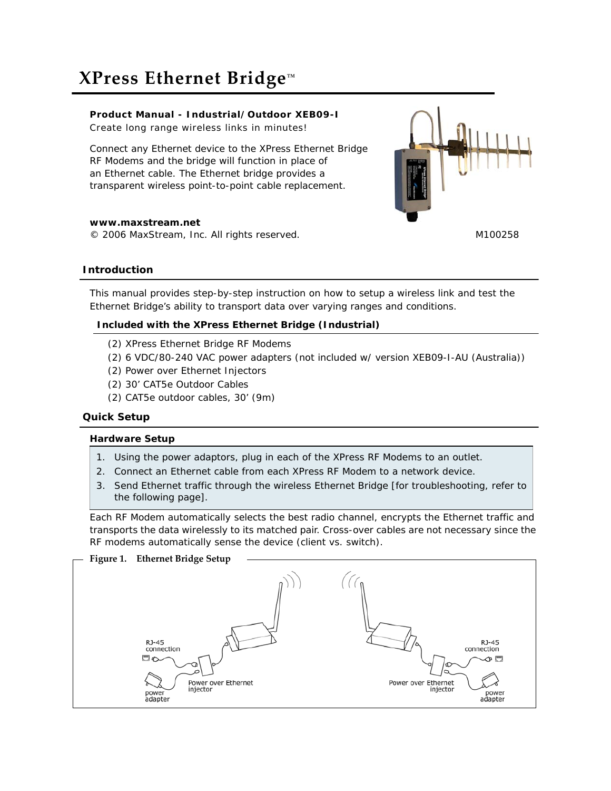# **XPress Ethernet Bridge™**

# **Product Manual - Industrial/Outdoor XEB09-I**

Create long range wireless links in minutes!

Connect any Ethernet device to the XPress Ethernet Bridge RF Modems and the bridge will function in place of an Ethernet cable. The Ethernet bridge provides a transparent wireless point-to-point cable replacement.



**www.maxstream.net** © 2006 MaxStream, Inc. All rights reserved. M100258

# **Introduction**

This manual provides step-by-step instruction on how to setup a wireless link and test the Ethernet Bridge's ability to transport data over varying ranges and conditions.

# **Included with the XPress Ethernet Bridge (Industrial)**

- (2) XPress Ethernet Bridge RF Modems
- (2) 6 VDC/80-240 VAC power adapters (not included w/ version XEB09-I-AU (Australia))
- (2) Power over Ethernet Injectors
- (2) 30' CAT5e Outdoor Cables
- (2) CAT5e outdoor cables, 30' (9m)

## **Quick Setup**

## **Hardware Setup**

- 1. Using the power adaptors, plug in each of the XPress RF Modems to an outlet.
- 2. Connect an Ethernet cable from each XPress RF Modem to a network device.
- 3. Send Ethernet traffic through the wireless Ethernet Bridge [for troubleshooting, refer to the following page].

Each RF Modem automatically selects the best radio channel, encrypts the Ethernet traffic and transports the data wirelessly to its matched pair. Cross-over cables are not necessary since the RF modems automatically sense the device (client vs. switch).

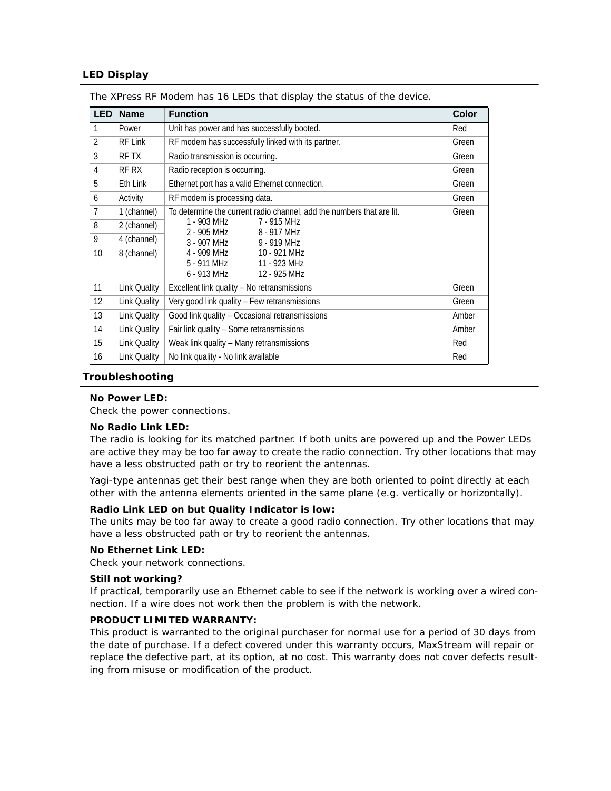## **LED Display**

| <b>LED</b>     | <b>Name</b>         | <b>Function</b>                                                       | <b>Color</b> |
|----------------|---------------------|-----------------------------------------------------------------------|--------------|
| 1              | Power               | Unit has power and has successfully booted.                           | Red          |
| $\overline{2}$ | RF Link             | RF modem has successfully linked with its partner.                    | Green        |
| 3              | RF TX               | Radio transmission is occurring.                                      | Green        |
| 4              | RF RX               | Radio reception is occurring.                                         | Green        |
| 5              | Eth Link            | Ethernet port has a valid Ethernet connection.                        | Green        |
| 6              | Activity            | RF modem is processing data.                                          | Green        |
| $\overline{1}$ | 1 (channel)         | To determine the current radio channel, add the numbers that are lit. | Green        |
| 8              | 2 (channel)         | 1 - 903 MHz<br>7 - 915 MHz<br>2 - 905 MHz<br>8 - 917 MHz              |              |
| 9              | 4 (channel)         | 3 - 907 MHz<br>9 - 919 MHz                                            |              |
| 10             | 8 (channel)         | 4 - 909 MHz<br>10 - 921 MHz                                           |              |
|                |                     | 5 - 911 MHz<br>11 - 923 MHz<br>6 - 913 MHz<br>12 - 925 MHz            |              |
| 11             |                     |                                                                       |              |
|                | Link Quality        | Excellent link quality - No retransmissions                           | Green        |
| 12             | <b>Link Quality</b> | Very good link quality - Few retransmissions                          | Green        |
| 13             | <b>Link Quality</b> | Good link quality - Occasional retransmissions                        | Amber        |
| 14             | <b>Link Quality</b> | Fair link quality - Some retransmissions                              | Amber        |
| 15             | <b>Link Quality</b> | Weak link quality - Many retransmissions                              | Red          |
| 16             | <b>Link Quality</b> | No link quality - No link available                                   | Red          |

The XPress RF Modem has 16 LEDs that display the status of the device.

#### **Troubleshooting**

#### **No Power LED:**

Check the power connections.

#### **No Radio Link LED:**

The radio is looking for its matched partner. If both units are powered up and the Power LEDs are active they may be too far away to create the radio connection. Try other locations that may have a less obstructed path or try to reorient the antennas.

Yagi-type antennas get their best range when they are both oriented to point directly at each other with the antenna elements oriented in the same plane (e.g. vertically or horizontally).

#### **Radio Link LED on but Quality Indicator is low:**

The units may be too far away to create a good radio connection. Try other locations that may have a less obstructed path or try to reorient the antennas.

#### **No Ethernet Link LED:**

Check your network connections.

#### **Still not working?**

If practical, temporarily use an Ethernet cable to see if the network is working over a wired connection. If a wire does not work then the problem is with the network.

#### **PRODUCT LIMITED WARRANTY:**

This product is warranted to the original purchaser for normal use for a period of 30 days from the date of purchase. If a defect covered under this warranty occurs, MaxStream will repair or replace the defective part, at its option, at no cost. This warranty does not cover defects resulting from misuse or modification of the product.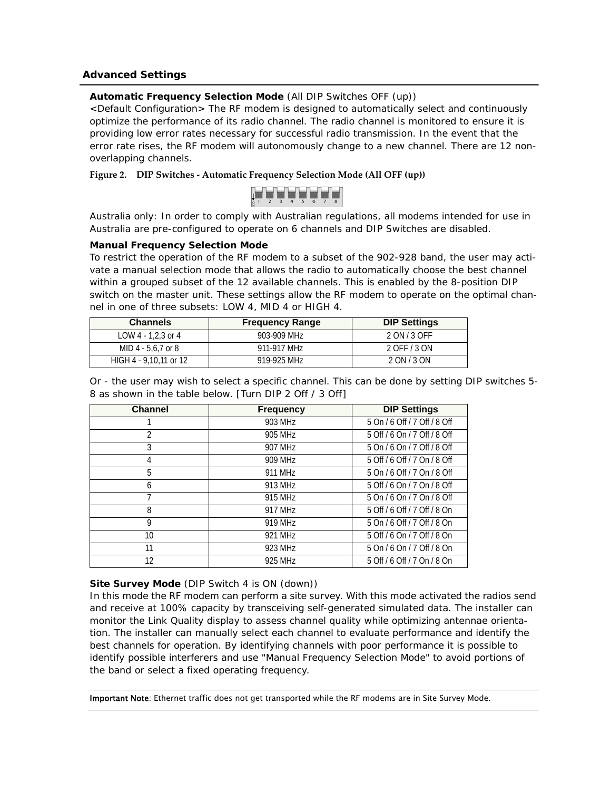## **Advanced Settings**

## **Automatic Frequency Selection Mode** (All DIP Switches OFF (up))

<Default Configuration> The RF modem is designed to automatically select and continuously optimize the performance of its radio channel. The radio channel is monitored to ensure it is providing low error rates necessary for successful radio transmission. In the event that the error rate rises, the RF modem will autonomously change to a new channel. There are 12 nonoverlapping channels.

## **Figure 2. DIP Switches ‐ Automatic Frequency Selection Mode (All OFF (up))**



Australia only: In order to comply with Australian regulations, all modems intended for use in Australia are pre-configured to operate on 6 channels and DIP Switches are disabled.

#### **Manual Frequency Selection Mode**

To restrict the operation of the RF modem to a subset of the 902-928 band, the user may activate a manual selection mode that allows the radio to automatically choose the best channel within a grouped subset of the 12 available channels. This is enabled by the 8-position DIP switch on the master unit. These settings allow the RF modem to operate on the optimal channel in one of three subsets: LOW 4, MID 4 or HIGH 4.

| <b>Channels</b>        | <b>Frequency Range</b> | <b>DIP Settings</b> |
|------------------------|------------------------|---------------------|
| LOW 4 - 1.2.3 or 4     | 903-909 MHz            | 2 ON / 3 OFF        |
| MID 4 - 5.6.7 or 8     | 911-917 MHz            | 2 OFF / 3 ON        |
| HIGH 4 - 9.10.11 or 12 | 919-925 MHz            | 2 ON / 3 ON         |

Or - the user may wish to select a specific channel. This can be done by setting DIP switches 5- 8 as shown in the table below. [Turn DIP 2 Off / 3 Off]

| <b>Channel</b> | <b>Frequency</b> | <b>DIP Settings</b>          |
|----------------|------------------|------------------------------|
|                | 903 MHz          | 5 On / 6 Off / 7 Off / 8 Off |
| $\mathfrak{D}$ | 905 MHz          | 5 Off / 6 On / 7 Off / 8 Off |
| 3              | 907 MHz          | 5 On / 6 On / 7 Off / 8 Off  |
| 4              | 909 MHz          | 5 Off / 6 Off / 7 On / 8 Off |
| 5              | 911 MHz          | 5 On / 6 Off / 7 On / 8 Off  |
| 6              | 913 MHz          | 5 Off / 6 On / 7 On / 8 Off  |
|                | 915 MHz          | 5 On / 6 On / 7 On / 8 Off   |
| 8              | 917 MHz          | 5 Off / 6 Off / 7 Off / 8 On |
| 9              | 919 MHz          | 5 On / 6 Off / 7 Off / 8 On  |
| 10             | 921 MHz          | 5 Off / 6 On / 7 Off / 8 On  |
| 11             | 923 MHz          | 5 On / 6 On / 7 Off / 8 On   |
| 12             | 925 MHz          | 5 Off / 6 Off / 7 On / 8 On  |

#### **Site Survey Mode** (DIP Switch 4 is ON (down))

In this mode the RF modem can perform a site survey. With this mode activated the radios send and receive at 100% capacity by transceiving self-generated simulated data. The installer can monitor the Link Quality display to assess channel quality while optimizing antennae orientation. The installer can manually select each channel to evaluate performance and identify the best channels for operation. By identifying channels with poor performance it is possible to identify possible interferers and use "Manual Frequency Selection Mode" to avoid portions of the band or select a fixed operating frequency.

Important Note: Ethernet traffic does not get transported while the RF modems are in Site Survey Mode.